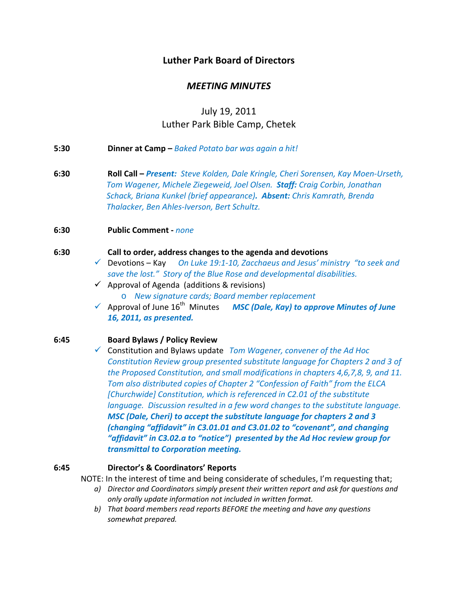# **Luther Park Board of Directors**

# *MEETING MINUTES*

# July 19, 2011 Luther Park Bible Camp, Chetek

- **5:30 Dinner at Camp –** *Baked Potato bar was again a hit!*
- **6:30 Roll Call –** *Present: Steve Kolden, Dale Kringle, Cheri Sorensen, Kay Moen‐Urseth, Tom Wagener, Michele Ziegeweid, Joel Olsen. Staff: Craig Corbin, Jonathan Schack, Briana Kunkel (brief appearance). Absent: Chris Kamrath, Brenda Thalacker, Ben Ahles‐Iverson, Bert Schultz.*

**6:30 Public Comment ‐** *none*

#### **6:30 Call to order, address changes to the agenda and devotions**

- 9 Devotions Kay *On Luke 19:1‐10, Zacchaeus and Jesus' ministry "to seek and save the lost." Story of the Blue Rose and developmental disabilities.*
- $\checkmark$  Approval of Agenda (additions & revisions) o *New signature cards; Board member replacement*
- 9 Approval of June 16th Minutes *MSC (Dale, Kay) to approve Minutes of June 16, 2011, as presented.*

# **6:45 Board Bylaws / Policy Review**

9 Constitution and Bylaws update *Tom Wagener, convener of the Ad Hoc Constitution Review group presented substitute language for Chapters 2 and 3 of the Proposed Constitution, and small modifications in chapters 4,6,7,8, 9, and 11. Tom also distributed copies of Chapter 2 "Confession of Faith" from the ELCA [Churchwide] Constitution, which is referenced in C2.01 of the substitute language. Discussion resulted in a few word changes to the substitute language. MSC (Dale, Cheri) to accept the substitute language for chapters 2 and 3 (changing "affidavit" in C3.01.01 and C3.01.02 to "covenant", and changing "affidavit" in C3.02.a to "notice") presented by the Ad Hoc review group for transmittal to Corporation meeting.*

# **6:45 Director's & Coordinators' Reports**

NOTE: In the interest of time and being considerate of schedules, I'm requesting that;

- *a) Director and Coordinators simply present their written report and ask for questions and only orally update information not included in written format.*
- *b) That board members read reports BEFORE the meeting and have any questions somewhat prepared.*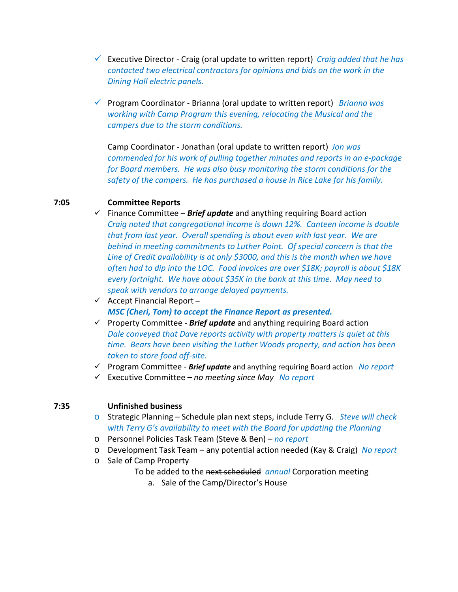- 9 Executive Director ‐ Craig (oral update to written report) *Craig added that he has contacted two electrical contractors for opinions and bids on the work in the Dining Hall electric panels.*
- 9 Program Coordinator ‐ Brianna (oral update to written report) *Brianna was working with Camp Program this evening, relocating the Musical and the campers due to the storm conditions.*

Camp Coordinator ‐ Jonathan (oral update to written report) *Jon was commended for his work of pulling together minutes and reports in an e‐package for Board members. He was also busy monitoring the storm conditions for the safety of the campers. He has purchased a house in Rice Lake for his family.*

# **7:05 Committee Reports**

- $\checkmark$  Finance Committee **Brief update** and anything requiring Board action *Craig noted that congregational income is down 12%. Canteen income is double that from last year. Overall spending is about even with last year. We are behind in meeting commitments to Luther Point. Of special concern is that the Line of Credit availability is at only \$3000, and this is the month when we have often had to dip into the LOC. Food invoices are over \$18K; payroll is about \$18K every fortnight. We have about \$35K in the bank at this time. May need to speak with vendors to arrange delayed payments.*
- $\checkmark$  Accept Financial Report *MSC (Cheri, Tom) to accept the Finance Report as presented.*
- 9 Property Committee ‐ *Brief update* and anything requiring Board action *Dale conveyed that Dave reports activity with property matters is quiet at this time. Bears have been visiting the Luther Woods property, and action has been taken to store food off‐site.*
- 9 Program Committee ‐ *Brief update* and anything requiring Board action *No report*
- 9 Executive Committee *no meeting since May No report*

# **7:35 Unfinished business**

- o Strategic Planning Schedule plan next steps, include Terry G. *Steve will check with Terry G's availability to meet with the Board for updating the Planning*
- o Personnel Policies Task Team (Steve & Ben) *no report*
- o Development Task Team any potential action needed (Kay & Craig) *No report*
- o Sale of Camp Property
	- To be added to the next scheduled *annual* Corporation meeting
		- a. Sale of the Camp/Director's House